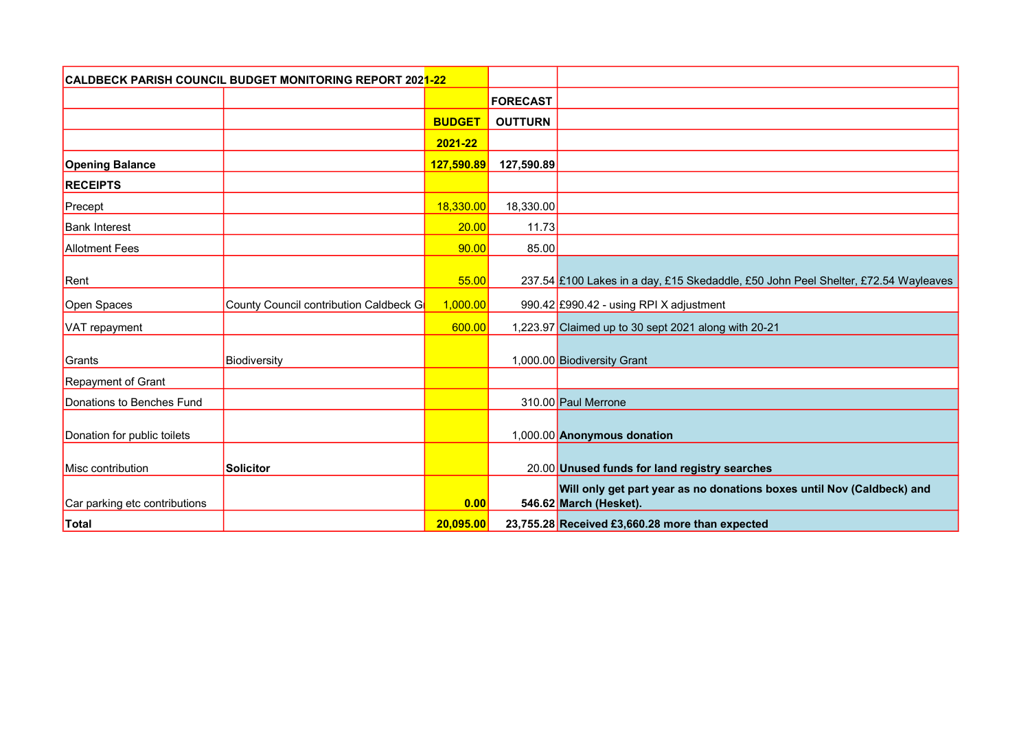| <b>CALDBECK PARISH COUNCIL BUDGET MONITORING REPORT 2021-22</b> |                                        |               |                 |                                                                                                  |
|-----------------------------------------------------------------|----------------------------------------|---------------|-----------------|--------------------------------------------------------------------------------------------------|
|                                                                 |                                        |               | <b>FORECAST</b> |                                                                                                  |
|                                                                 |                                        | <b>BUDGET</b> | <b>OUTTURN</b>  |                                                                                                  |
|                                                                 |                                        | 2021-22       |                 |                                                                                                  |
| <b>Opening Balance</b>                                          |                                        | 127,590.89    | 127,590.89      |                                                                                                  |
| <b>RECEIPTS</b>                                                 |                                        |               |                 |                                                                                                  |
| Precept                                                         |                                        | 18,330.00     | 18,330.00       |                                                                                                  |
| <b>Bank Interest</b>                                            |                                        | 20.00         | 11.73           |                                                                                                  |
| <b>Allotment Fees</b>                                           |                                        | 90.00         | 85.00           |                                                                                                  |
| Rent                                                            |                                        | 55.00         |                 | 237.54 £100 Lakes in a day, £15 Skedaddle, £50 John Peel Shelter, £72.54 Wayleaves               |
| Open Spaces                                                     | County Council contribution Caldbeck G | 1,000.00      |                 | 990.42 £990.42 - using RPI X adjustment                                                          |
| VAT repayment                                                   |                                        | 600.00        |                 | 1,223.97 Claimed up to 30 sept 2021 along with 20-21                                             |
| Grants                                                          | Biodiversity                           |               |                 | 1,000.00 Biodiversity Grant                                                                      |
| Repayment of Grant                                              |                                        |               |                 |                                                                                                  |
| Donations to Benches Fund                                       |                                        |               |                 | 310.00 Paul Merrone                                                                              |
| Donation for public toilets                                     |                                        |               |                 | 1,000.00 Anonymous donation                                                                      |
| Misc contribution                                               | <b>Solicitor</b>                       |               |                 | 20.00 Unused funds for land registry searches                                                    |
| Car parking etc contributions                                   |                                        | 0.00          |                 | Will only get part year as no donations boxes until Nov (Caldbeck) and<br>546.62 March (Hesket). |
| Total                                                           |                                        | 20,095.00     |                 | 23,755.28 Received £3,660.28 more than expected                                                  |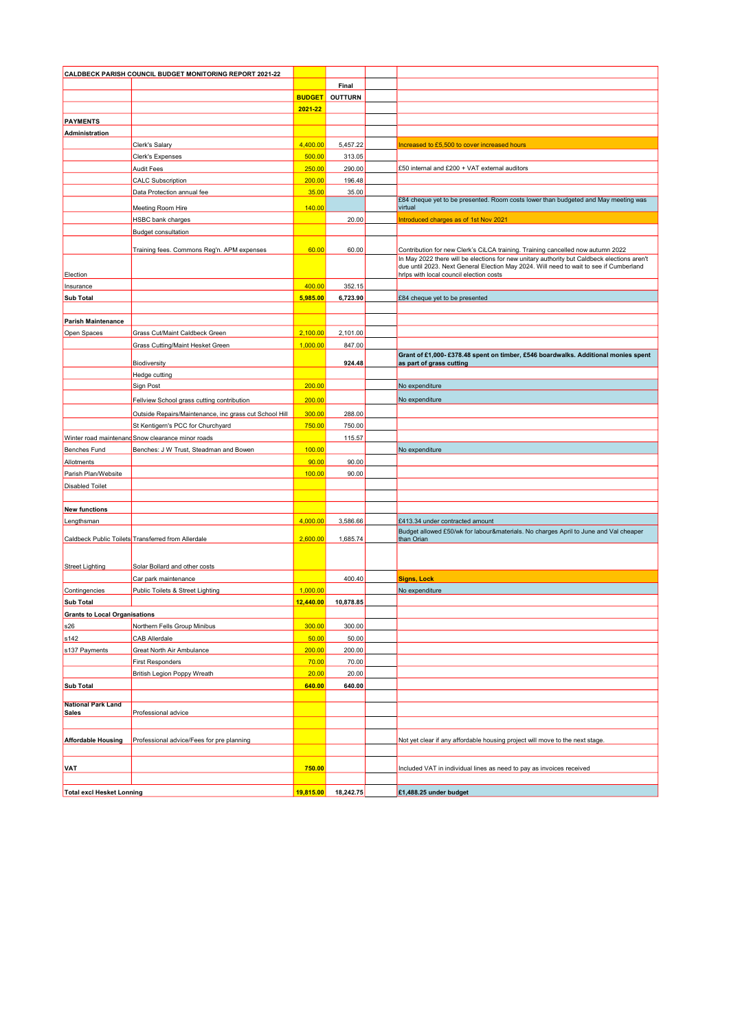| CALDBECK PARISH COUNCIL BUDGET MONITORING REPORT 2021-22 |                                                        |               |                     |                                                                                                    |
|----------------------------------------------------------|--------------------------------------------------------|---------------|---------------------|----------------------------------------------------------------------------------------------------|
|                                                          |                                                        |               | Final               |                                                                                                    |
|                                                          |                                                        | <b>BUDGET</b> | <b>OUTTURN</b>      |                                                                                                    |
|                                                          |                                                        | 2021-22       |                     |                                                                                                    |
| <b>PAYMENTS</b>                                          |                                                        |               |                     |                                                                                                    |
| Administration                                           |                                                        |               |                     |                                                                                                    |
|                                                          | Clerk's Salary                                         | 4,400.00      | 5,457.22            | Increased to £5,500 to cover increased hours                                                       |
|                                                          | <b>Clerk's Expenses</b>                                | 500.00        | 313.05              |                                                                                                    |
|                                                          | <b>Audit Fees</b>                                      | 250.00        | 290.00              | £50 internal and £200 + VAT external auditors                                                      |
|                                                          | <b>CALC Subscription</b>                               | 200.00        | 196.48              |                                                                                                    |
|                                                          | Data Protection annual fee                             | 35.00         | 35.00               |                                                                                                    |
|                                                          |                                                        |               |                     | £84 cheque yet to be presented. Room costs lower than budgeted and May meeting was                 |
|                                                          | Meeting Room Hire                                      | 140.00        |                     | virtual                                                                                            |
|                                                          | <b>HSBC</b> bank charges                               |               | 20.00               | Introduced charges as of 1st Nov 2021                                                              |
|                                                          | <b>Budget consultation</b>                             |               |                     |                                                                                                    |
|                                                          | Training fees. Commons Reg'n. APM expenses             | 60.00         | 60.00               | Contribution for new Clerk's CiLCA training. Training cancelled now autumn 2022                    |
|                                                          |                                                        |               |                     | In May 2022 there will be elections for new unitary authority but Caldbeck elections aren't        |
|                                                          |                                                        |               |                     | due until 2023. Next General Election May 2024. Will need to wait to see if Cumberland             |
| Election                                                 |                                                        |               |                     | hrlps with local council election costs                                                            |
| Insurance                                                |                                                        | 400.00        | 352.15              |                                                                                                    |
| <b>Sub Total</b>                                         |                                                        | 5,985.00      | 6,723.90            | £84 cheque yet to be presented                                                                     |
|                                                          |                                                        |               |                     |                                                                                                    |
| <b>Parish Maintenance</b>                                |                                                        |               |                     |                                                                                                    |
| Open Spaces                                              | Grass Cut/Maint Caldbeck Green                         | 2,100.00      | 2,101.00            |                                                                                                    |
|                                                          | <b>Grass Cutting/Maint Hesket Green</b>                | 1,000.00      | 847.00              | Grant of £1,000- £378.48 spent on timber, £546 boardwalks. Additional monies spent                 |
|                                                          | Biodiversity                                           |               | 924.48              | as part of grass cutting                                                                           |
|                                                          | Hedge cutting                                          |               |                     |                                                                                                    |
|                                                          | <b>Sign Post</b>                                       | 200.00        |                     | No expenditure                                                                                     |
|                                                          | Fellview School grass cutting contribution             | 200.00        |                     | No expenditure                                                                                     |
|                                                          | Outside Repairs/Maintenance, inc grass cut School Hill | 300.00        | 288.00              |                                                                                                    |
|                                                          | St Kentigern's PCC for Churchyard                      | 750.00        | 750.00              |                                                                                                    |
|                                                          |                                                        |               |                     |                                                                                                    |
|                                                          | Winter road maintenand Snow clearance minor roads      |               | 115.57              |                                                                                                    |
| Benches Fund                                             | Benches: J W Trust, Steadman and Bowen                 | 100.00        |                     | No expenditure                                                                                     |
| Allotments                                               |                                                        | 90.00         | 90.00               |                                                                                                    |
| Parish Plan/Website                                      |                                                        | 100.00        | 90.00               |                                                                                                    |
| <b>Disabled Toilet</b>                                   |                                                        |               |                     |                                                                                                    |
|                                                          |                                                        |               |                     |                                                                                                    |
| <b>New functions</b>                                     |                                                        |               |                     |                                                                                                    |
| Lengthsman                                               |                                                        | 4,000.00      | 3,586.66            | £413.34 under contracted amount                                                                    |
|                                                          | Caldbeck Public Toilets Transferred from Allerdale     | 2,600.00      | 1,685.74            | Budget allowed £50/wk for labour&materials. No charges April to June and Val cheaper<br>than Orian |
|                                                          |                                                        |               |                     |                                                                                                    |
|                                                          |                                                        |               |                     |                                                                                                    |
| <b>Street Lighting</b>                                   | Solar Bollard and other costs                          |               |                     |                                                                                                    |
|                                                          | Car park maintenance                                   |               | 400.40              | <b>Signs, Lock</b>                                                                                 |
| Contingencies                                            | Public Toilets & Street Lighting                       | 1,000.00      |                     | No expenditure                                                                                     |
| <b>Sub Total</b>                                         |                                                        | 12,440.00     | 10,878.85           |                                                                                                    |
| <b>Grants to Local Organisations</b>                     |                                                        |               |                     |                                                                                                    |
| s26                                                      | Northern Fells Group Minibus                           | 300.00        | 300.00              |                                                                                                    |
| s142                                                     | <b>CAB Allerdale</b>                                   | 50.00         | 50.00               |                                                                                                    |
| s137 Payments                                            | Great North Air Ambulance                              | 200.00        | 200.00              |                                                                                                    |
|                                                          | <b>First Responders</b>                                | 70.00         | 70.00               |                                                                                                    |
|                                                          | British Legion Poppy Wreath                            | 20.00         | 20.00               |                                                                                                    |
| <b>Sub Total</b>                                         |                                                        | 640.00        | 640.00              |                                                                                                    |
| <b>National Park Land</b>                                |                                                        |               |                     |                                                                                                    |
| <b>Sales</b>                                             | Professional advice                                    |               |                     |                                                                                                    |
|                                                          |                                                        |               |                     |                                                                                                    |
|                                                          |                                                        |               |                     |                                                                                                    |
| <b>Affordable Housing</b>                                | Professional advice/Fees for pre planning              |               |                     | Not yet clear if any affordable housing project will move to the next stage.                       |
|                                                          |                                                        |               |                     |                                                                                                    |
| VAT                                                      |                                                        | 750.00        |                     | Included VAT in individual lines as need to pay as invoices received                               |
|                                                          |                                                        |               |                     |                                                                                                    |
| <b>Total excl Hesket Lonning</b>                         |                                                        |               | 19,815.00 18,242.75 | £1,488.25 under budget                                                                             |